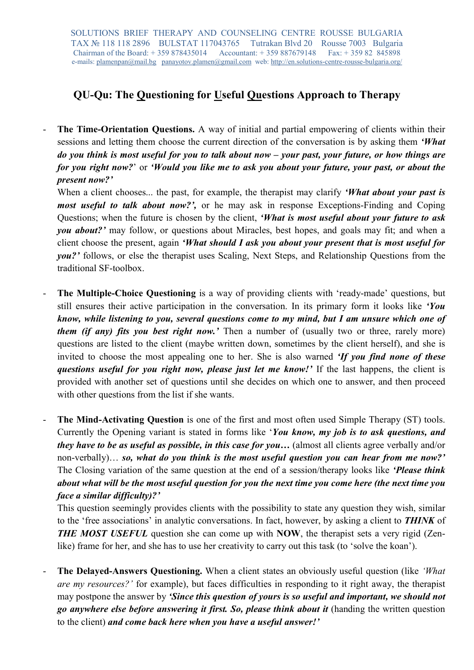## QU-Qu: The Questioning for Useful Questions Approach to Therapy

The Time-Orientation Questions. A way of initial and partial empowering of clients within their sessions and letting them choose the current direction of the conversation is by asking them 'What do you think is most useful for you to talk about now – your past, your future, or how things are for you right now?' or 'Would you like me to ask you about your future, your past, or about the present now?'

When a client chooses... the past, for example, the therapist may clarify 'What about your past is most useful to talk about now?', or he may ask in response Exceptions-Finding and Coping Questions; when the future is chosen by the client, 'What is most useful about your future to ask you about?' may follow, or questions about Miracles, best hopes, and goals may fit; and when a client choose the present, again 'What should I ask you about your present that is most useful for you?' follows, or else the therapist uses Scaling, Next Steps, and Relationship Questions from the traditional SF-toolbox.

- The Multiple-Choice Questioning is a way of providing clients with 'ready-made' questions, but still ensures their active participation in the conversation. In its primary form it looks like 'You know, while listening to you, several questions come to my mind, but I am unsure which one of them (if any) fits you best right now.' Then a number of (usually two or three, rarely more) questions are listed to the client (maybe written down, sometimes by the client herself), and she is invited to choose the most appealing one to her. She is also warned *If you find none of these* questions useful for you right now, please just let me know!' If the last happens, the client is provided with another set of questions until she decides on which one to answer, and then proceed with other questions from the list if she wants.
- The Mind-Activating Question is one of the first and most often used Simple Therapy (ST) tools. Currently the Opening variant is stated in forms like 'You know, my job is to ask questions, and they have to be as useful as possible, in this case for you... (almost all clients agree verbally and/or non-verbally)… so, what do you think is the most useful question you can hear from me now?' The Closing variation of the same question at the end of a session/therapy looks like '*Please think* about what will be the most useful question for you the next time you come here (the next time you face a similar difficulty)?'

This question seemingly provides clients with the possibility to state any question they wish, similar to the 'free associations' in analytic conversations. In fact, however, by asking a client to THINK of THE MOST USEFUL question she can come up with NOW, the therapist sets a very rigid (Zenlike) frame for her, and she has to use her creativity to carry out this task (to 'solve the koan').

The Delayed-Answers Questioning. When a client states an obviously useful question (like 'What are my resources?' for example), but faces difficulties in responding to it right away, the therapist may postpone the answer by 'Since this question of yours is so useful and important, we should not go anywhere else before answering it first. So, please think about it (handing the written question to the client) and come back here when you have a useful answer!'